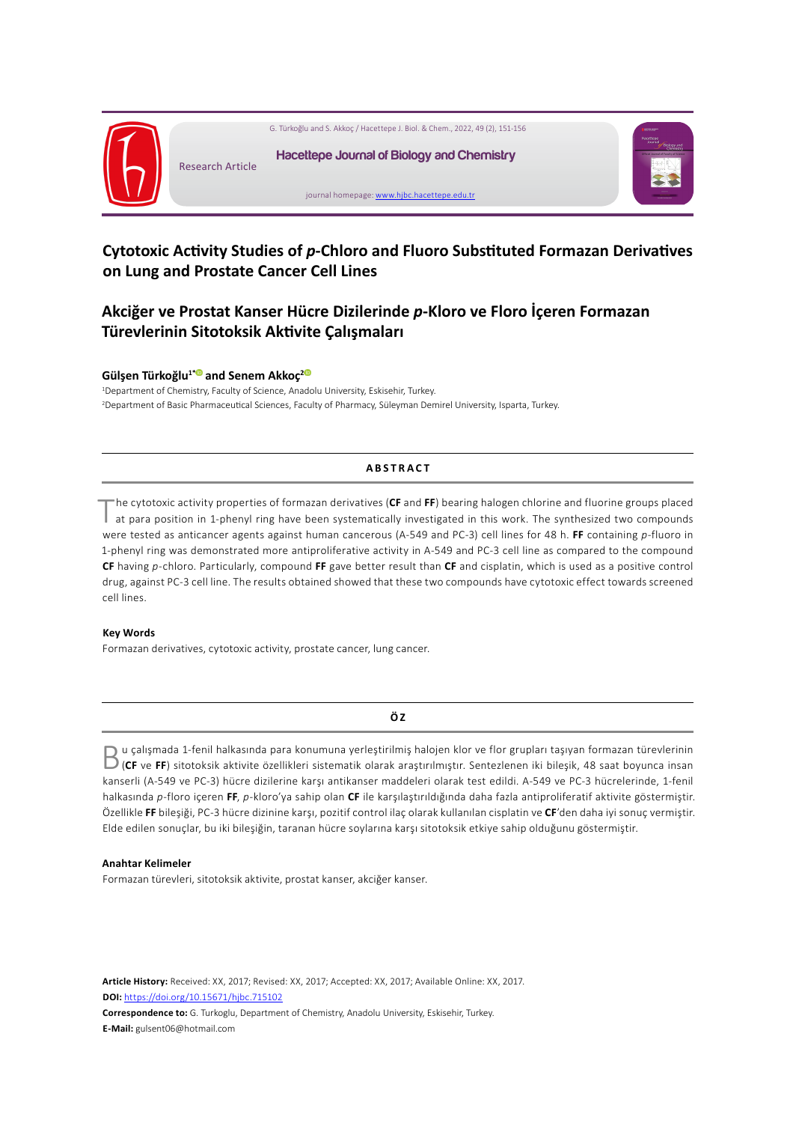

# **Cytotoxic Activity Studies of** *p***-Chloro and Fluoro Substituted Formazan Derivatives on Lung and Prostate Cancer Cell Lines**

# **Akciğer ve Prostat Kanser Hücre Dizilerinde** *p***-Kloro ve Floro İçeren Formazan Türevlerinin Sitotoksik Aktivite Çalışmaları**

## **Gülşen Türkoğlu1\* [a](https://orcid.org/
0000-0002-3468-870X)nd Senem Akkoç[2](https://orcid.org/
0000-0001-8913-757X)**

1 Department of Chemistry, Faculty of Science, Anadolu University, Eskisehir, Turkey. 2 Department of Basic Pharmaceutical Sciences, Faculty of Pharmacy, Süleyman Demirel University, Isparta, Turkey.

#### **ABSTRACT**

The cytotoxic activity properties of formazan derivatives (**CF** and **FF**) bearing halogen chlorine and fluorine groups placed at para position in 1-phenyl ring have been systematically investigated in this work. The synthesized two compounds were tested as anticancer agents against human cancerous (A-549 and PC-3) cell lines for 48 h. **FF** containing *p*-fluoro in 1-phenyl ring was demonstrated more antiproliferative activity in A-549 and PC-3 cell line as compared to the compound **CF** having *p*-chloro. Particularly, compound **FF** gave better result than **CF** and cisplatin, which is used as a positive control drug, against PC-3 cell line. The results obtained showed that these two compounds have cytotoxic effect towards screened cell lines.

#### **Key Words**

Formazan derivatives, cytotoxic activity, prostate cancer, lung cancer.

### **Ö Z**

 $\begin{array}{l} \textbf{D} \text{ u } \text{çalışmada 1-fenil halkasında para konumuna yerleştirilmiş halojen klor ve flor grupları taşıyan formazan türevlerinin (CF ve FF) sitotoksik aktivite özellikleri sistematik olarak araştırılmıştır. Sentezlenen iki bileşik, 48 saat boyunca insan$ kanserli (A-549 ve PC-3) hücre dizilerine karşı antikanser maddeleri olarak test edildi. A-549 ve PC-3 hücrelerinde, 1-fenil halkasında *p*-floro içeren **FF**, *p*-kloro'ya sahip olan **CF** ile karşılaştırıldığında daha fazla antiproliferatif aktivite göstermiştir. Özellikle **FF** bileşiği, PC-3 hücre dizinine karşı, pozitif control ilaç olarak kullanılan cisplatin ve **CF**'den daha iyi sonuç vermiştir. Elde edilen sonuçlar, bu iki bileşiğin, taranan hücre soylarına karşı sitotoksik etkiye sahip olduğunu göstermiştir.

#### **Anahtar Kelimeler**

Formazan türevleri, sitotoksik aktivite, prostat kanser, akciğer kanser.

**Article History:** Received: XX, 2017; Revised: XX, 2017; Accepted: XX, 2017; Available Online: XX, 2017. **DOI:** <https://doi.org/10.15671/hjbc.715102>

**Correspondence to:** G. Turkoglu, Department of Chemistry, Anadolu University, Eskisehir, Turkey. **E-Mail:** gulsent06@hotmail.com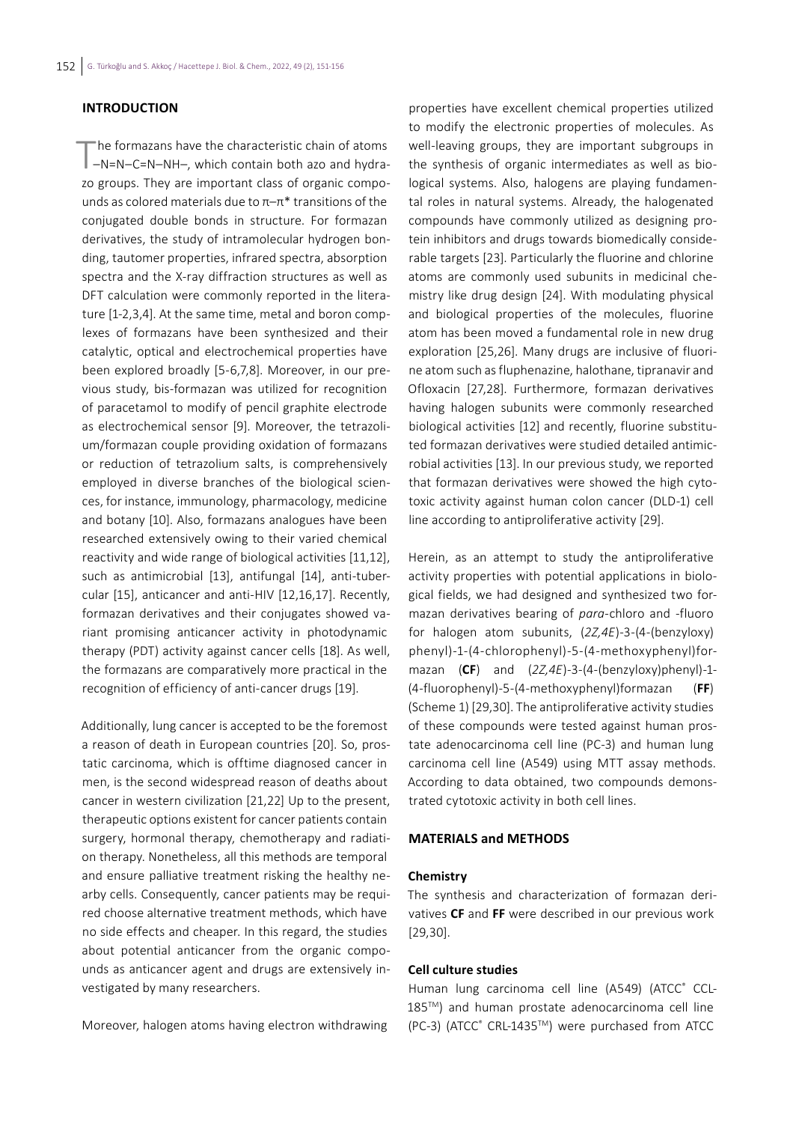# **INTRODUCTION**

The formazans have the characteristic chain of atoms<br>  $\neg$ -N=N–C=N-NH–, which contain both azo and hydrazo groups. They are important class of organic compounds as colored materials due to  $\pi-\pi^*$  transitions of the conjugated double bonds in structure. For formazan derivatives, the study of intramolecular hydrogen bonding, tautomer properties, infrared spectra, absorption spectra and the X-ray diffraction structures as well as DFT calculation were commonly reported in the literature [1-2,3,4]. At the same time, metal and boron complexes of formazans have been synthesized and their catalytic, optical and electrochemical properties have been explored broadly [5-6,7,8]. Moreover, in our previous study, bis-formazan was utilized for recognition of paracetamol to modify of pencil graphite electrode as electrochemical sensor [9]. Moreover, the tetrazolium/formazan couple providing oxidation of formazans or reduction of tetrazolium salts, is comprehensively employed in diverse branches of the biological sciences, for instance, immunology, pharmacology, medicine and botany [10]. Also, formazans analogues have been researched extensively owing to their varied chemical reactivity and wide range of biological activities [11,12], such as antimicrobial [13], antifungal [14], anti-tubercular [15], anticancer and anti-HIV [12,16,17]. Recently, formazan derivatives and their conjugates showed variant promising anticancer activity in photodynamic therapy (PDT) activity against cancer cells [18]. As well, the formazans are comparatively more practical in the recognition of efficiency of anti-cancer drugs [19].

Additionally, lung cancer is accepted to be the foremost a reason of death in European countries [20]. So, prostatic carcinoma, which is offtime diagnosed cancer in men, is the second widespread reason of deaths about cancer in western civilization [21,22] Up to the present, therapeutic options existent for cancer patients contain surgery, hormonal therapy, chemotherapy and radiation therapy. Nonetheless, all this methods are temporal and ensure palliative treatment risking the healthy nearby cells. Consequently, cancer patients may be required choose alternative treatment methods, which have no side effects and cheaper. In this regard, the studies about potential anticancer from the organic compounds as anticancer agent and drugs are extensively investigated by many researchers.

Moreover, halogen atoms having electron withdrawing

properties have excellent chemical properties utilized to modify the electronic properties of molecules. As well-leaving groups, they are important subgroups in the synthesis of organic intermediates as well as biological systems. Also, halogens are playing fundamental roles in natural systems. Already, the halogenated compounds have commonly utilized as designing protein inhibitors and drugs towards biomedically considerable targets [23]. Particularly the fluorine and chlorine atoms are commonly used subunits in medicinal chemistry like drug design [24]. With modulating physical and biological properties of the molecules, fluorine atom has been moved a fundamental role in new drug exploration [25,26]. Many drugs are inclusive of fluorine atom such as fluphenazine, halothane, tipranavir and Ofloxacin [27,28]. Furthermore, formazan derivatives having halogen subunits were commonly researched biological activities [12] and recently, fluorine substituted formazan derivatives were studied detailed antimicrobial activities [13]. In our previous study, we reported that formazan derivatives were showed the high cytotoxic activity against human colon cancer (DLD-1) cell line according to antiproliferative activity [29].

Herein, as an attempt to study the antiproliferative activity properties with potential applications in biological fields, we had designed and synthesized two formazan derivatives bearing of *para*-chloro and -fluoro for halogen atom subunits, (*2Z,4E*)-3-(4-(benzyloxy) phenyl)-1-(4-chlorophenyl)-5-(4-methoxyphenyl)formazan (**CF**) and (*2Z,4E*)-3-(4-(benzyloxy)phenyl)-1- (4-fluorophenyl)-5-(4-methoxyphenyl)formazan (**FF**) (Scheme 1) [29,30]. The antiproliferative activity studies of these compounds were tested against human prostate adenocarcinoma cell line (PC-3) and human lung carcinoma cell line (A549) using MTT assay methods. According to data obtained, two compounds demonstrated cytotoxic activity in both cell lines.

### **MATERIALS and METHODS**

#### **Chemistry**

The synthesis and characterization of formazan derivatives **CF** and **FF** were described in our previous work [29,30].

# **Cell culture studies**

Human lung carcinoma cell line (A549) (ATCC® CCL-185™) and human prostate adenocarcinoma cell line (PC-3) (ATCC® CRL-1435™) were purchased from ATCC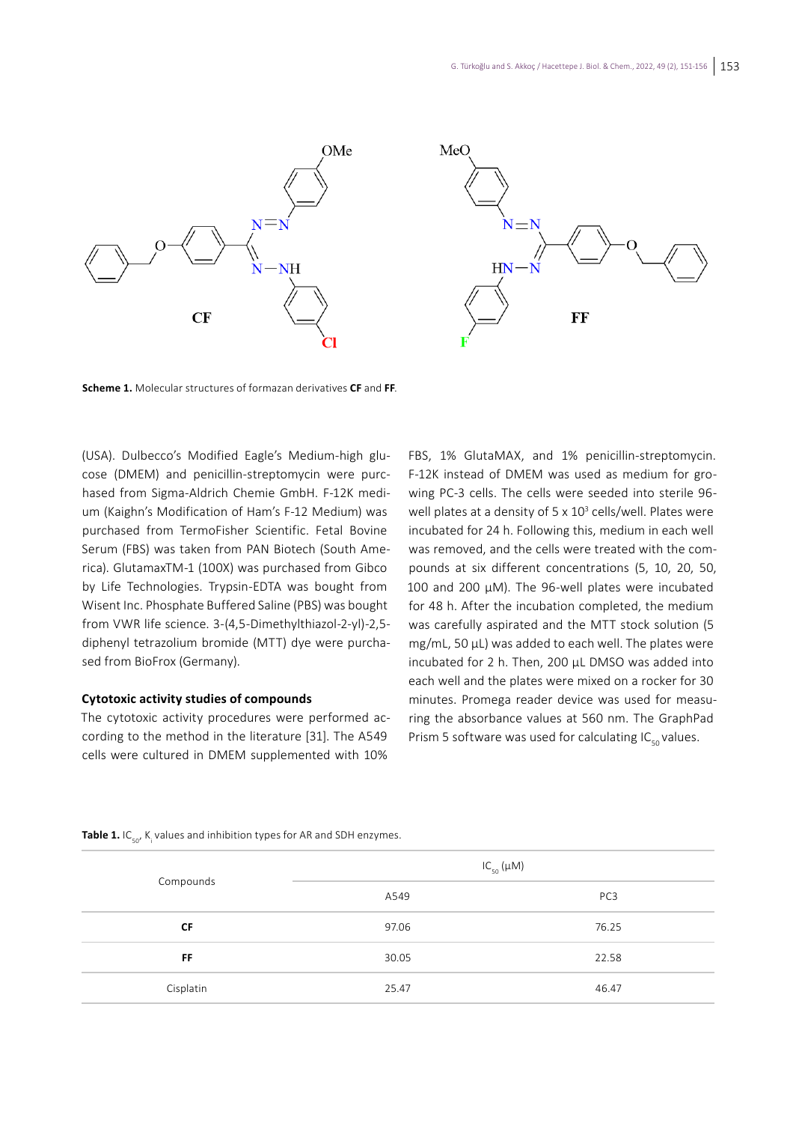

**Scheme 1.** Molecular structures of formazan derivatives **CF** and **FF**.

(USA). Dulbecco's Modified Eagle's Medium-high glucose (DMEM) and penicillin-streptomycin were purchased from Sigma-Aldrich Chemie GmbH. F-12K medium (Kaighn's Modification of Ham's F-12 Medium) was purchased from TermoFisher Scientific. Fetal Bovine Serum (FBS) was taken from PAN Biotech (South America). GlutamaxTM-1 (100X) was purchased from Gibco by Life Technologies. Trypsin-EDTA was bought from Wisent Inc. Phosphate Buffered Saline (PBS) was bought from VWR life science. 3-(4,5-Dimethylthiazol-2-yl)-2,5 diphenyl tetrazolium bromide (MTT) dye were purchased from BioFrox (Germany).

#### **Cytotoxic activity studies of compounds**

The cytotoxic activity procedures were performed according to the method in the literature [31]. The A549 cells were cultured in DMEM supplemented with 10%

FBS, 1% GlutaMAX, and 1% penicillin-streptomycin. F-12K instead of DMEM was used as medium for growing PC-3 cells. The cells were seeded into sterile 96 well plates at a density of 5 x 10<sup>3</sup> cells/well. Plates were incubated for 24 h. Following this, medium in each well was removed, and the cells were treated with the compounds at six different concentrations (5, 10, 20, 50, 100 and 200 µM). The 96-well plates were incubated for 48 h. After the incubation completed, the medium was carefully aspirated and the MTT stock solution (5 mg/mL, 50 µL) was added to each well. The plates were incubated for 2 h. Then, 200 µL DMSO was added into each well and the plates were mixed on a rocker for 30 minutes. Promega reader device was used for measuring the absorbance values at 560 nm. The GraphPad Prism 5 software was used for calculating  $IC_{50}$  values.

| Compounds | $IC_{50}(\mu M)$ |                 |
|-----------|------------------|-----------------|
|           | A549             | PC <sub>3</sub> |
| <b>CF</b> | 97.06            | 76.25           |
| <b>FF</b> | 30.05            | 22.58           |
| Cisplatin | 25.47            | 46.47           |

**Table 1.** IC<sub>50</sub>, K<sub>i</sub> values and inhibition types for AR and SDH enzymes.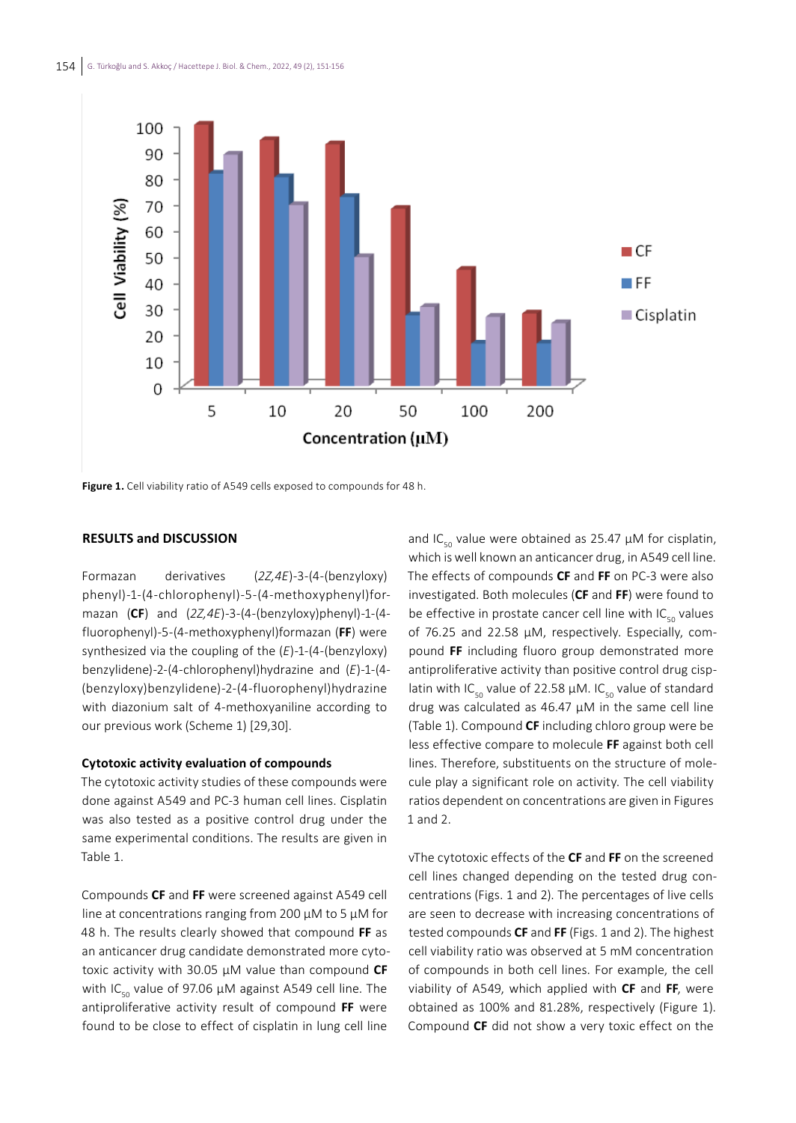

**Figure 1.** Cell viability ratio of A549 cells exposed to compounds for 48 h.

### **RESULTS and DISCUSSION**

Formazan derivatives (*2Z,4E*)-3-(4-(benzyloxy) phenyl)-1-(4-chlorophenyl)-5-(4-methoxyphenyl)formazan (**CF**) and (*2Z,4E*)-3-(4-(benzyloxy)phenyl)-1-(4 fluorophenyl)-5-(4-methoxyphenyl)formazan (**FF**) were synthesized via the coupling of the (*E*)-1-(4-(benzyloxy) benzylidene)-2-(4-chlorophenyl)hydrazine and (*E*)-1-(4- (benzyloxy)benzylidene)-2-(4-fluorophenyl)hydrazine with diazonium salt of 4-methoxyaniline according to our previous work (Scheme 1) [29,30].

#### **Cytotoxic activity evaluation of compounds**

The cytotoxic activity studies of these compounds were done against A549 and PC-3 human cell lines. Cisplatin was also tested as a positive control drug under the same experimental conditions. The results are given in Table 1.

Compounds **CF** and **FF** were screened against A549 cell line at concentrations ranging from 200 µM to 5 µM for 48 h. The results clearly showed that compound **FF** as an anticancer drug candidate demonstrated more cytotoxic activity with 30.05 µM value than compound **CF** with IC<sub>50</sub> value of 97.06  $\mu$ M against A549 cell line. The antiproliferative activity result of compound **FF** were found to be close to effect of cisplatin in lung cell line

and IC<sub>50</sub> value were obtained as 25.47  $\mu$ M for cisplatin, which is well known an anticancer drug, in A549 cell line. The effects of compounds **CF** and **FF** on PC-3 were also investigated. Both molecules (**CF** and **FF**) were found to be effective in prostate cancer cell line with  $IC_{50}$  values of 76.25 and 22.58 µM, respectively. Especially, compound **FF** including fluoro group demonstrated more antiproliferative activity than positive control drug cisplatin with IC<sub>50</sub> value of 22.58  $\mu$ M. IC<sub>50</sub> value of standard drug was calculated as 46.47 µM in the same cell line (Table 1). Compound **CF** including chloro group were be less effective compare to molecule **FF** against both cell lines. Therefore, substituents on the structure of molecule play a significant role on activity. The cell viability ratios dependent on concentrations are given in Figures 1 and 2.

vThe cytotoxic effects of the **CF** and **FF** on the screened cell lines changed depending on the tested drug concentrations (Figs. 1 and 2). The percentages of live cells are seen to decrease with increasing concentrations of tested compounds **CF** and **FF** (Figs. 1 and 2). The highest cell viability ratio was observed at 5 mM concentration of compounds in both cell lines. For example, the cell viability of A549, which applied with **CF** and **FF**, were obtained as 100% and 81.28%, respectively (Figure 1). Compound **CF** did not show a very toxic effect on the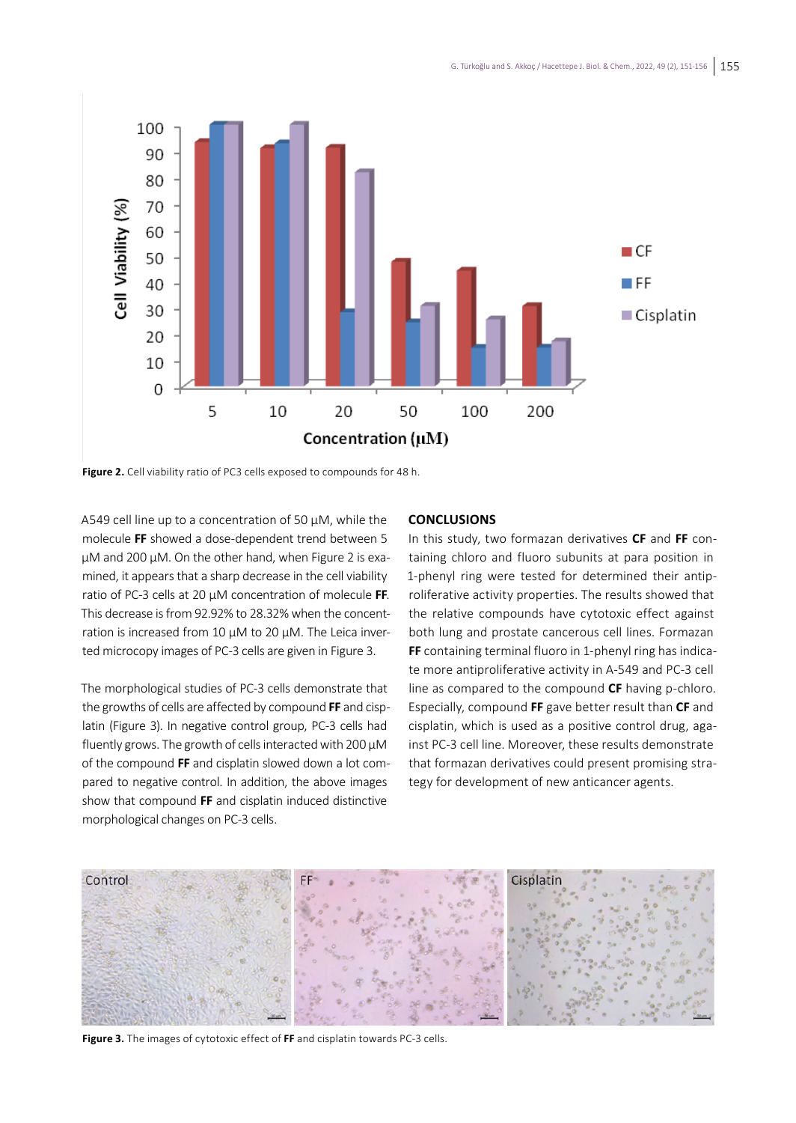

**Figure 2.** Cell viability ratio of PC3 cells exposed to compounds for 48 h.

A549 cell line up to a concentration of 50 µM, while the molecule **FF** showed a dose-dependent trend between 5 µM and 200 µM. On the other hand, when Figure 2 is examined, it appears that a sharp decrease in the cell viability ratio of PC-3 cells at 20 µM concentration of molecule **FF**. This decrease is from 92.92% to 28.32% when the concentration is increased from 10 µM to 20 µM. The Leica inverted microcopy images of PC-3 cells are given in Figure 3.

The morphological studies of PC-3 cells demonstrate that the growths of cells are affected by compound **FF** and cisplatin (Figure 3). In negative control group, PC-3 cells had fluently grows. The growth of cells interacted with 200 µM of the compound **FF** and cisplatin slowed down a lot compared to negative control. In addition, the above images show that compound **FF** and cisplatin induced distinctive morphological changes on PC-3 cells.

#### **CONCLUSIONS**

In this study, two formazan derivatives **CF** and **FF** containing chloro and fluoro subunits at para position in 1-phenyl ring were tested for determined their antiproliferative activity properties. The results showed that the relative compounds have cytotoxic effect against both lung and prostate cancerous cell lines. Formazan **FF** containing terminal fluoro in 1-phenyl ring has indicate more antiproliferative activity in A-549 and PC-3 cell line as compared to the compound **CF** having p-chloro. Especially, compound **FF** gave better result than **CF** and cisplatin, which is used as a positive control drug, against PC-3 cell line. Moreover, these results demonstrate that formazan derivatives could present promising strategy for development of new anticancer agents.



**Figure 3.** The images of cytotoxic effect of **FF** and cisplatin towards PC-3 cells.